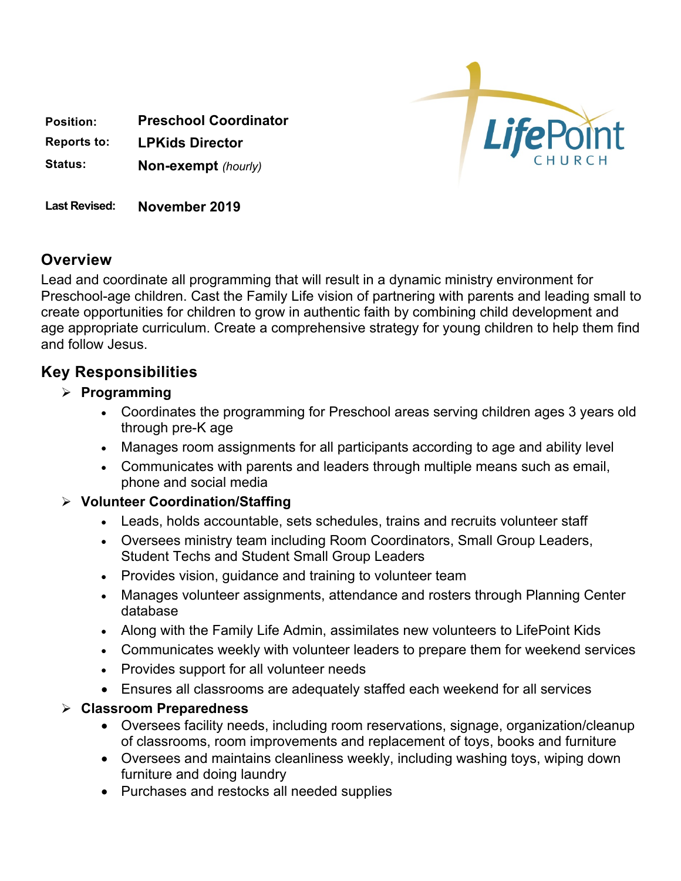

**Position: Preschool Coordinator**

**Reports to: LPKids Director**

**Status: Non-exempt** *(hourly)*

**Last Revised: November 2019**

## **Overview**

Lead and coordinate all programming that will result in a dynamic ministry environment for Preschool-age children. Cast the Family Life vision of partnering with parents and leading small to create opportunities for children to grow in authentic faith by combining child development and age appropriate curriculum. Create a comprehensive strategy for young children to help them find and follow Jesus.

# **Key Responsibilities**

- Ø **Programming**
	- Coordinates the programming for Preschool areas serving children ages 3 years old through pre-K age
	- Manages room assignments for all participants according to age and ability level
	- Communicates with parents and leaders through multiple means such as email, phone and social media

#### Ø **Volunteer Coordination/Staffing**

- Leads, holds accountable, sets schedules, trains and recruits volunteer staff
- Oversees ministry team including Room Coordinators, Small Group Leaders, Student Techs and Student Small Group Leaders
- Provides vision, guidance and training to volunteer team
- Manages volunteer assignments, attendance and rosters through Planning Center database
- Along with the Family Life Admin, assimilates new volunteers to LifePoint Kids
- Communicates weekly with volunteer leaders to prepare them for weekend services
- Provides support for all volunteer needs
- Ensures all classrooms are adequately staffed each weekend for all services

#### Ø **Classroom Preparedness**

- Oversees facility needs, including room reservations, signage, organization/cleanup of classrooms, room improvements and replacement of toys, books and furniture
- Oversees and maintains cleanliness weekly, including washing toys, wiping down furniture and doing laundry
- Purchases and restocks all needed supplies